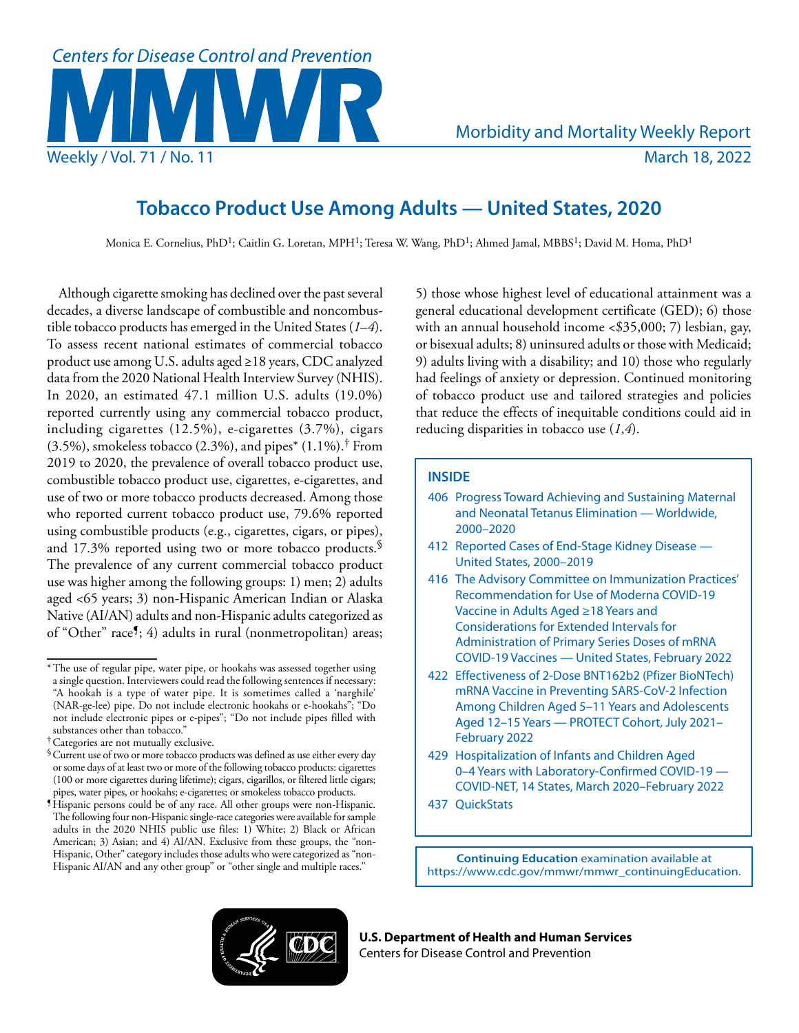

# **Tobacco Product Use Among Adults — United States, 2020**

Monica E. Cornelius, PhD<sup>1</sup>; Caitlin G. Loretan, MPH<sup>1</sup>; Teresa W. Wang, PhD<sup>1</sup>; Ahmed Jamal, MBBS<sup>1</sup>; David M. Homa, PhD<sup>1</sup>

Although cigarette smoking has declined over the past several decades, a diverse landscape of combustible and noncombustible tobacco products has emerged in the United States (*1*–*4*). To assess recent national estimates of commercial tobacco product use among U.S. adults aged ≥18 years, CDC analyzed data from the 2020 National Health Interview Survey (NHIS). In 2020, an estimated 47.1 million U.S. adults (19.0%) reported currently using any commercial tobacco product, including cigarettes (12.5%), e-cigarettes (3.7%), cigars  $(3.5\%)$ , smokeless tobacco  $(2.3\%)$ , and pipes<sup>\*</sup>  $(1.1\%)$ .<sup>†</sup> From 2019 to 2020, the prevalence of overall tobacco product use, combustible tobacco product use, cigarettes, e-cigarettes, and use of two or more tobacco products decreased. Among those who reported current tobacco product use, 79.6% reported using combustible products (e.g., cigarettes, cigars, or pipes), and 17.3% reported using two or more tobacco products.<sup>§</sup> The prevalence of any current commercial tobacco product use was higher among the following groups: 1) men; 2) adults aged <65 years; 3) non-Hispanic American Indian or Alaska Native (AI/AN) adults and non-Hispanic adults categorized as of "Other" race¶; 4) adults in rural (nonmetropolitan) areas;

5) those whose highest level of educational attainment was a general educational development certificate (GED); 6) those with an annual household income <\$35,000; 7) lesbian, gay, or bisexual adults; 8) uninsured adults or those with Medicaid; 9) adults living with a disability; and 10) those who regularly had feelings of anxiety or depression. Continued monitoring of tobacco product use and tailored strategies and policies that reduce the effects of inequitable conditions could aid in reducing disparities in tobacco use (*1*,*4*).

# **INSIDE**

- 406 Progress Toward Achieving and Sustaining Maternal and Neonatal Tetanus Elimination — Worldwide, 2000–2020
- 412 Reported Cases of End-Stage Kidney Disease United States, 2000–2019
- 416 The Advisory Committee on Immunization Practices' Recommendation for Use of Moderna COVID-19 Vaccine in Adults Aged ≥18 Years and Considerations for Extended Intervals for Administration of Primary Series Doses of mRNA COVID-19 Vaccines — United States, February 2022
- 422 Effectiveness of 2-Dose BNT162b2 (Pfizer BioNTech) mRNA Vaccine in Preventing SARS-CoV-2 Infection Among Children Aged 5–11 Years and Adolescents Aged 12–15 Years — PROTECT Cohort, July 2021– February 2022
- 429 Hospitalization of Infants and Children Aged 0–4 Years with Laboratory-Confirmed COVID-19 — COVID-NET, 14 States, March 2020–February 2022
- 437 QuickStats

**Continuing Education** examination available at [https://www.cdc.gov/mmwr/mmwr\\_continuingEducation.](https://www.cdc.gov/mmwr/mmwr_continuingEducation.html)



**U.S. Department of Health and Human Services** Centers for Disease Control and Prevention

<sup>\*</sup>The use of regular pipe, water pipe, or hookahs was assessed together using a single question. Interviewers could read the following sentences if necessary: "A hookah is a type of water pipe. It is sometimes called a 'narghile' (NAR-ge-lee) pipe. Do not include electronic hookahs or e-hookahs"; "Do not include electronic pipes or e-pipes"; "Do not include pipes filled with substances other than tobacco."

<sup>†</sup>Categories are not mutually exclusive.

<sup>§</sup>Current use of two or more tobacco products was defined as use either every day or some days of at least two or more of the following tobacco products: cigarettes (100 or more cigarettes during lifetime); cigars, cigarillos, or filtered little cigars; pipes, water pipes, or hookahs; e-cigarettes; or smokeless tobacco products.

<sup>¶</sup>Hispanic persons could be of any race. All other groups were non-Hispanic. The following four non-Hispanic single-race categories were available for sample adults in the 2020 NHIS public use files: 1) White; 2) Black or African American; 3) Asian; and 4) AI/AN. Exclusive from these groups, the "non-Hispanic, Other" category includes those adults who were categorized as "non-Hispanic AI/AN and any other group" or "other single and multiple races."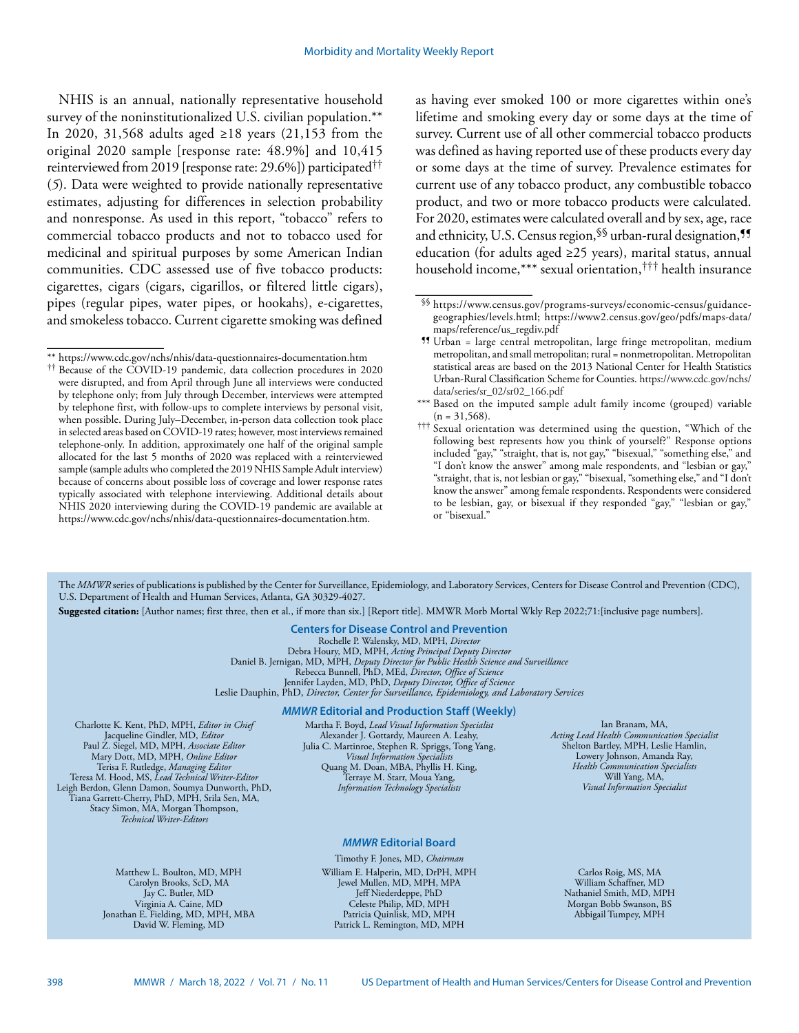NHIS is an annual, nationally representative household survey of the noninstitutionalized U.S. civilian population.\*\* In 2020, 31,568 adults aged ≥18 years (21,153 from the original 2020 sample [response rate: 48.9%] and 10,415 reinterviewed from 2019 [response rate: 29.6%]) participated†† (*5*). Data were weighted to provide nationally representative estimates, adjusting for differences in selection probability and nonresponse. As used in this report, "tobacco" refers to commercial tobacco products and not to tobacco used for medicinal and spiritual purposes by some American Indian communities. CDC assessed use of five tobacco products: cigarettes, cigars (cigars, cigarillos, or filtered little cigars), pipes (regular pipes, water pipes, or hookahs), e-cigarettes, and smokeless tobacco. Current cigarette smoking was defined as having ever smoked 100 or more cigarettes within one's lifetime and smoking every day or some days at the time of survey. Current use of all other commercial tobacco products was defined as having reported use of these products every day or some days at the time of survey. Prevalence estimates for current use of any tobacco product, any combustible tobacco product, and two or more tobacco products were calculated. For 2020, estimates were calculated overall and by sex, age, race and ethnicity, U.S. Census region, SS urban-rural designation, <sup>11</sup> education (for adults aged ≥25 years), marital status, annual household income,\*\*\* sexual orientation,††† health insurance

The *MMWR* series of publications is published by the Center for Surveillance, Epidemiology, and Laboratory Services, Centers for Disease Control and Prevention (CDC), U.S. Department of Health and Human Services, Atlanta, GA 30329-4027.

**Suggested citation:** [Author names; first three, then et al., if more than six.] [Report title]. MMWR Morb Mortal Wkly Rep 2022;71:[inclusive page numbers].

# **Centers for Disease Control and Prevention**

Rochelle P. Walensky, MD, MPH, *Director* Debra Houry, MD, MPH, *Acting Principal Deputy Director* Daniel B. Jernigan, MD, MPH, *Deputy Director for Public Health Science and Surveillance* Rebecca Bunnell, PhD, MEd, *Director, Office of Science* Jennifer Layden, MD, PhD, *Deputy Director, Office of Science* Leslie Dauphin, PhD, *Director, Center for Surveillance, Epidemiology, and Laboratory Services*

#### *MMWR* **Editorial and Production Staff (Weekly)**

Charlotte K. Kent, PhD, MPH, *Editor in Chief*  Jacqueline Gindler, MD, *Editor* Paul Z. Siegel, MD, MPH, *Associate Editor* Mary Dott, MD, MPH, *Online Editor* Terisa F. Rutledge, *Managing Editor*  Teresa M. Hood, MS, *Lead Technical Writer-Editor* Leigh Berdon, Glenn Damon, Soumya Dunworth, PhD, Tiana Garrett-Cherry, PhD, MPH, Srila Sen, MA, Stacy Simon, MA, Morgan Thompson, *Technical Writer-Editors*

Martha F. Boyd, *Lead Visual Information Specialist* Alexander J. Gottardy, Maureen A. Leahy, Julia C. Martinroe, Stephen R. Spriggs, Tong Yang, *Visual Information Specialists* Quang M. Doan, MBA, Phyllis H. King, Terraye M. Starr, Moua Yang, *Information Technology Specialists*

## *MMWR* **Editorial Board**

Matthew L. Boulton, MD, MPH Carolyn Brooks, ScD, MA Jay C. Butler, MD Virginia A. Caine, MD Jonathan E. Fielding, MD, MPH, MBA David W. Fleming, MD

Timothy F. Jones, MD, *Chairman* William E. Halperin, MD, DrPH, MPH Jewel Mullen, MD, MPH, MPA Jeff Niederdeppe, PhD Celeste Philip, MD, MPH Patricia Quinlisk, MD, MPH Patrick L. Remington, MD, MPH

Ian Branam, MA, *Acting Lead Health Communication Specialist* Shelton Bartley, MPH, Leslie Hamlin, Lowery Johnson, Amanda Ray, *Health Communication Specialists* Will Yang, MA, *Visual Information Specialist*

Carlos Roig, MS, MA William Schaffner, MD Nathaniel Smith, MD, MPH Morgan Bobb Swanson, BS Abbigail Tumpey, MPH

<sup>\*\*</sup> <https://www.cdc.gov/nchs/nhis/data-questionnaires-documentation.htm>

<sup>††</sup> Because of the COVID-19 pandemic, data collection procedures in 2020 were disrupted, and from April through June all interviews were conducted by telephone only; from July through December, interviews were attempted by telephone first, with follow-ups to complete interviews by personal visit, when possible. During July–December, in-person data collection took place in selected areas based on COVID-19 rates; however, most interviews remained telephone-only. In addition, approximately one half of the original sample allocated for the last 5 months of 2020 was replaced with a reinterviewed sample (sample adults who completed the 2019 NHIS Sample Adult interview) because of concerns about possible loss of coverage and lower response rates typically associated with telephone interviewing. Additional details about NHIS 2020 interviewing during the COVID-19 pandemic are available at [https://www.cdc.gov/nchs/nhis/data-questionnaires-documentation.htm.](https://www.cdc.gov/nchs/nhis/data-questionnaires-documentation.htm)

<sup>§§</sup> [https://www.census.gov/programs-surveys/economic-census/guidance](https://www.census.gov/programs-surveys/economic-census/guidance-geographies/levels.html)[geographies/levels.html;](https://www.census.gov/programs-surveys/economic-census/guidance-geographies/levels.html) [https://www2.census.gov/geo/pdfs/maps-data/](https://www2.census.gov/geo/pdfs/maps-data/maps/reference/us_regdiv.pdf) [maps/reference/us\\_regdiv.pdf](https://www2.census.gov/geo/pdfs/maps-data/maps/reference/us_regdiv.pdf)

<sup>¶¶</sup> Urban = large central metropolitan, large fringe metropolitan, medium metropolitan, and small metropolitan; rural = nonmetropolitan. Metropolitan statistical areas are based on the 2013 National Center for Health Statistics Urban-Rural Classification Scheme for Counties. [https://www.cdc.gov/nchs/](https://www.cdc.gov/nchs/data/series/sr_02/sr02_166.pdf) [data/series/sr\\_02/sr02\\_166.pdf](https://www.cdc.gov/nchs/data/series/sr_02/sr02_166.pdf)

<sup>\*\*\*</sup> Based on the imputed sample adult family income (grouped) variable  $(n = 31,568)$ .

<sup>†††</sup> Sexual orientation was determined using the question, "Which of the following best represents how you think of yourself?" Response options included "gay," "straight, that is, not gay," "bisexual," "something else," and "I don't know the answer" among male respondents, and "lesbian or gay," "straight, that is, not lesbian or gay," "bisexual, "something else," and "I don't know the answer" among female respondents. Respondents were considered to be lesbian, gay, or bisexual if they responded "gay," "lesbian or gay," or "bisexual."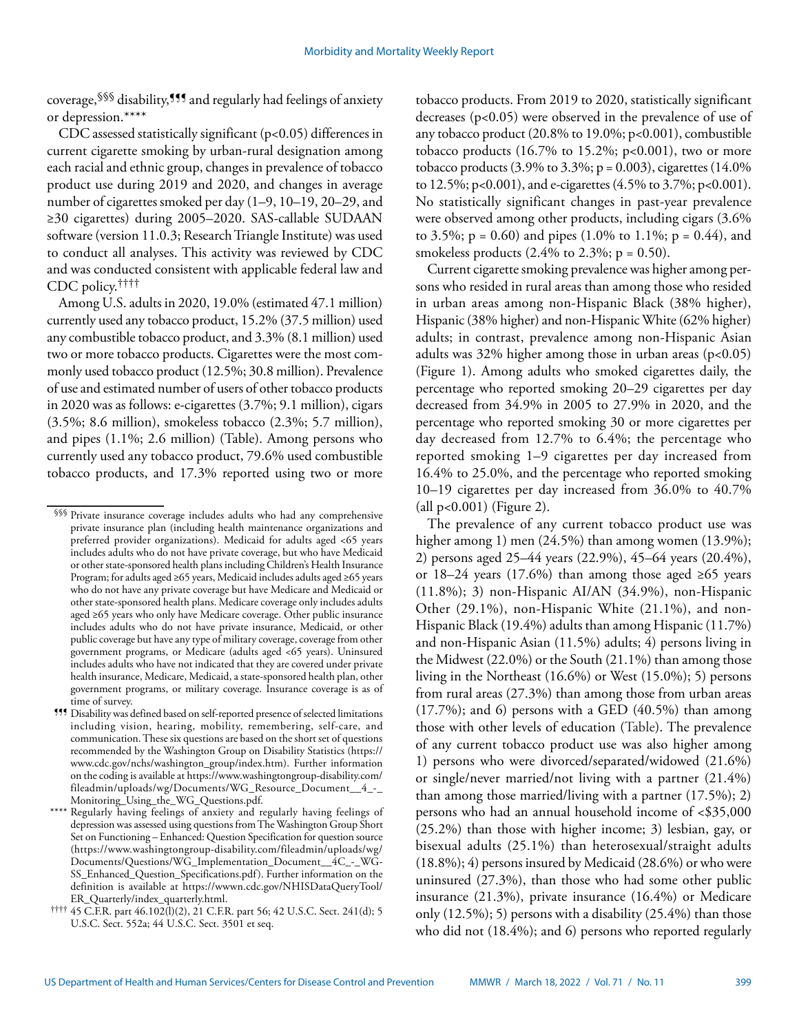coverage,§§§ disability,¶¶¶ and regularly had feelings of anxiety or depression.\*\*\*\*

CDC assessed statistically significant (p<0.05) differences in current cigarette smoking by urban-rural designation among each racial and ethnic group, changes in prevalence of tobacco product use during 2019 and 2020, and changes in average number of cigarettes smoked per day (1–9, 10–19, 20–29, and ≥30 cigarettes) during 2005–2020. SAS-callable SUDAAN software (version 11.0.3; Research Triangle Institute) was used to conduct all analyses. This activity was reviewed by CDC and was conducted consistent with applicable federal law and CDC policy.††††

Among U.S. adults in 2020, 19.0% (estimated 47.1 million) currently used any tobacco product, 15.2% (37.5 million) used any combustible tobacco product, and 3.3% (8.1 million) used two or more tobacco products. Cigarettes were the most commonly used tobacco product (12.5%; 30.8 million). Prevalence of use and estimated number of users of other tobacco products in 2020 was as follows: e-cigarettes (3.7%; 9.1 million), cigars (3.5%; 8.6 million), smokeless tobacco (2.3%; 5.7 million), and pipes (1.1%; 2.6 million) (Table). Among persons who currently used any tobacco product, 79.6% used combustible tobacco products, and 17.3% reported using two or more tobacco products. From 2019 to 2020, statistically significant decreases (p<0.05) were observed in the prevalence of use of any tobacco product (20.8% to 19.0%; p<0.001), combustible tobacco products  $(16.7\%$  to 15.2%; p<0.001), two or more tobacco products  $(3.9\% \text{ to } 3.3\%; p = 0.003)$ , cigarettes  $(14.0\%$ to 12.5%; p<0.001), and e-cigarettes  $(4.5\%$  to 3.7%; p<0.001). No statistically significant changes in past-year prevalence were observed among other products, including cigars (3.6% to 3.5%;  $p = 0.60$ ) and pipes (1.0% to 1.1%;  $p = 0.44$ ), and smokeless products  $(2.4\% \text{ to } 2.3\%; \text{ p} = 0.50)$ .

Current cigarette smoking prevalence was higher among persons who resided in rural areas than among those who resided in urban areas among non-Hispanic Black (38% higher), Hispanic (38% higher) and non-Hispanic White (62% higher) adults; in contrast, prevalence among non-Hispanic Asian adults was  $32\%$  higher among those in urban areas (p<0.05) (Figure 1). Among adults who smoked cigarettes daily, the percentage who reported smoking 20–29 cigarettes per day decreased from 34.9% in 2005 to 27.9% in 2020, and the percentage who reported smoking 30 or more cigarettes per day decreased from 12.7% to 6.4%; the percentage who reported smoking 1–9 cigarettes per day increased from 16.4% to 25.0%, and the percentage who reported smoking 10–19 cigarettes per day increased from 36.0% to 40.7% (all p<0.001) (Figure 2).

The prevalence of any current tobacco product use was higher among 1) men (24.5%) than among women (13.9%); 2) persons aged 25–44 years (22.9%), 45–64 years (20.4%), or 18–24 years (17.6%) than among those aged  $\geq 65$  years  $(11.8\%)$ ; 3) non-Hispanic AI/AN  $(34.9\%)$ , non-Hispanic Other (29.1%), non-Hispanic White (21.1%), and non-Hispanic Black (19.4%) adults than among Hispanic (11.7%) and non-Hispanic Asian (11.5%) adults; 4) persons living in the Midwest (22.0%) or the South (21.1%) than among those living in the Northeast (16.6%) or West (15.0%); 5) persons from rural areas (27.3%) than among those from urban areas  $(17.7%)$ ; and 6) persons with a GED  $(40.5%)$  than among those with other levels of education (Table). The prevalence of any current tobacco product use was also higher among 1) persons who were divorced/separated/widowed (21.6%) or single/never married/not living with a partner (21.4%) than among those married/living with a partner (17.5%); 2) persons who had an annual household income of <\$35,000 (25.2%) than those with higher income; 3) lesbian, gay, or bisexual adults (25.1%) than heterosexual/straight adults (18.8%); 4) persons insured by Medicaid (28.6%) or who were uninsured (27.3%), than those who had some other public insurance (21.3%), private insurance (16.4%) or Medicare only  $(12.5\%)$ ; 5) persons with a disability  $(25.4\%)$  than those who did not (18.4%); and 6) persons who reported regularly

<sup>§§§</sup> Private insurance coverage includes adults who had any comprehensive private insurance plan (including health maintenance organizations and preferred provider organizations). Medicaid for adults aged <65 years includes adults who do not have private coverage, but who have Medicaid or other state-sponsored health plans including Children's Health Insurance Program; for adults aged ≥65 years, Medicaid includes adults aged ≥65 years who do not have any private coverage but have Medicare and Medicaid or other state-sponsored health plans. Medicare coverage only includes adults aged ≥65 years who only have Medicare coverage. Other public insurance includes adults who do not have private insurance, Medicaid, or other public coverage but have any type of military coverage, coverage from other government programs, or Medicare (adults aged <65 years). Uninsured includes adults who have not indicated that they are covered under private health insurance, Medicare, Medicaid, a state-sponsored health plan, other government programs, or military coverage. Insurance coverage is as of time of survey.

<sup>¶¶¶</sup> Disability was defined based on self-reported presence of selected limitations including vision, hearing, mobility, remembering, self-care, and communication. These six questions are based on the short set of questions recommended by the Washington Group on Disability Statistics [\(https://](https://www.cdc.gov/nchs/washington_group/index.htm) [www.cdc.gov/nchs/washington\\_group/index.htm](https://www.cdc.gov/nchs/washington_group/index.htm)). Further information on the coding is available at [https://www.washingtongroup-disability.com/](https://www.washingtongroup-disability.com/fileadmin/uploads/wg/Documents/WG_Resource_Document__4_-_Monitoring_Using_the_WG_Questions.pdf) [fileadmin/uploads/wg/Documents/WG\\_Resource\\_Document\\_\\_4\\_-\\_](https://www.washingtongroup-disability.com/fileadmin/uploads/wg/Documents/WG_Resource_Document__4_-_Monitoring_Using_the_WG_Questions.pdf) [Monitoring\\_Using\\_the\\_WG\\_Questions.pdf.](https://www.washingtongroup-disability.com/fileadmin/uploads/wg/Documents/WG_Resource_Document__4_-_Monitoring_Using_the_WG_Questions.pdf)

Regularly having feelings of anxiety and regularly having feelings of depression was assessed using questions from The Washington Group Short Set on Functioning – Enhanced: Question Specification for question source ([https://www.washingtongroup-disability.com/fileadmin/uploads/wg/](https://www.washingtongroup-disability.com/fileadmin/uploads/wg/Documents/Questions/WG_Implementation_Document__4C_-_WG-SS_Enhanced_Question_Specifications.pdf) [Documents/Questions/WG\\_Implementation\\_Document\\_\\_4C\\_-\\_WG-](https://www.washingtongroup-disability.com/fileadmin/uploads/wg/Documents/Questions/WG_Implementation_Document__4C_-_WG-SS_Enhanced_Question_Specifications.pdf)[SS\\_Enhanced\\_Question\\_Specifications.pdf](https://www.washingtongroup-disability.com/fileadmin/uploads/wg/Documents/Questions/WG_Implementation_Document__4C_-_WG-SS_Enhanced_Question_Specifications.pdf)). Further information on the definition is available at [https://wwwn.cdc.gov/NHISDataQueryTool/](https://wwwn.cdc.gov/NHISDataQueryTool/ER_Quarterly/index_quarterly.html)

<sup>†††† 45</sup> C.F.R. part 46.102(l)(2), 21 C.F.R. part 56; 42 U.S.C. Sect. 241(d); 5 U.S.C. Sect. 552a; 44 U.S.C. Sect. 3501 et seq.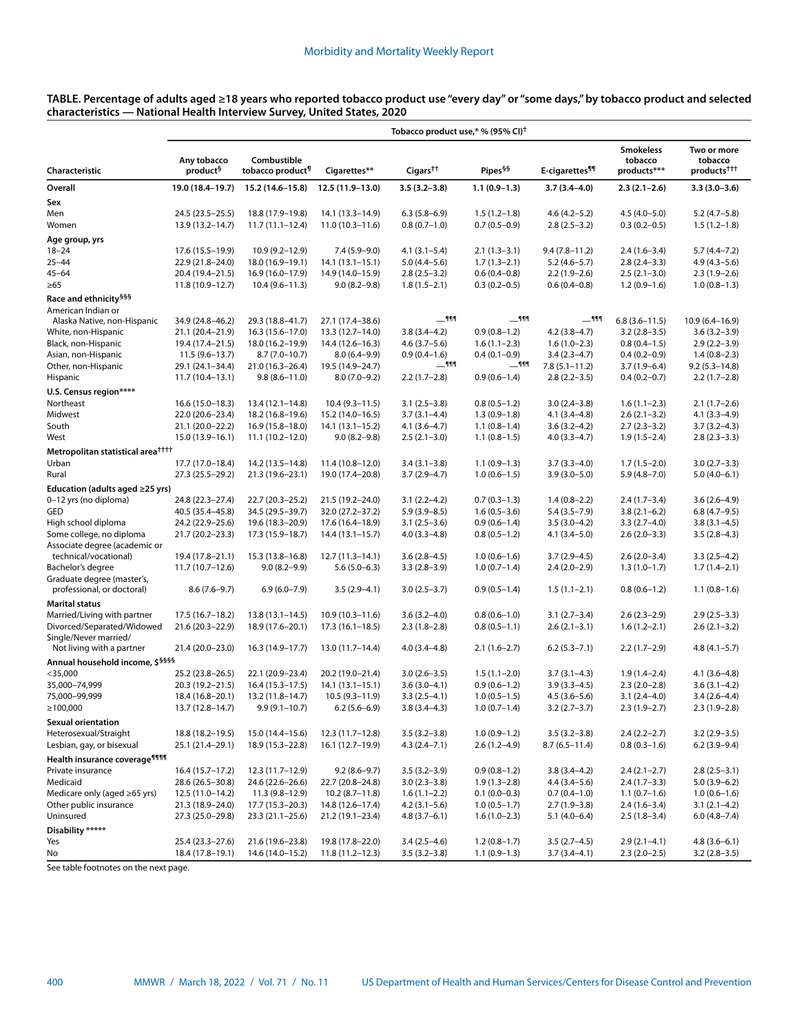| TABLE. Percentage of adults aged ≥18 years who reported tobacco product use "every day" or "some days," by tobacco product and selected |  |
|-----------------------------------------------------------------------------------------------------------------------------------------|--|
| characteristics — National Health Interview Survey, United States, 2020                                                                 |  |

|                                                                               | Tobacco product use,* % (95% CI) <sup>†</sup> |                                            |                                         |                                    |                                  |                                  |                                            |                                                   |
|-------------------------------------------------------------------------------|-----------------------------------------------|--------------------------------------------|-----------------------------------------|------------------------------------|----------------------------------|----------------------------------|--------------------------------------------|---------------------------------------------------|
| Characteristic                                                                | Any tobacco<br>product <sup>§</sup>           | Combustible<br>tobacco product¶            | Cigarettes**                            | Cigars <sup>††</sup>               | Pipes <sup>§§</sup>              | E-cigarettes <sup>¶¶</sup>       | <b>Smokeless</b><br>tobacco<br>products*** | Two or more<br>tobacco<br>products <sup>+++</sup> |
| Overall                                                                       | 19.0 (18.4-19.7)                              | 15.2 (14.6-15.8)                           | 12.5 (11.9-13.0)                        | $3.5(3.2 - 3.8)$                   | $1.1(0.9-1.3)$                   | $3.7(3.4 - 4.0)$                 | $2.3(2.1-2.6)$                             | $3.3(3.0-3.6)$                                    |
| Sex                                                                           |                                               |                                            |                                         |                                    |                                  |                                  |                                            |                                                   |
| Men                                                                           | 24.5 (23.5 - 25.5)                            | 18.8 (17.9-19.8)                           | $14.1(13.3 - 14.9)$                     | $6.3(5.8-6.9)$                     | $1.5(1.2-1.8)$                   | $4.6(4.2 - 5.2)$                 | $4.5(4.0 - 5.0)$                           | $5.2(4.7-5.8)$                                    |
| Women                                                                         | 13.9 (13.2-14.7)                              | $11.7(11.1 - 12.4)$                        | $11.0(10.3 - 11.6)$                     | $0.8(0.7-1.0)$                     | $0.7(0.5-0.9)$                   | $2.8(2.5-3.2)$                   | $0.3(0.2 - 0.5)$                           | $1.5(1.2-1.8)$                                    |
| Age group, yrs                                                                |                                               |                                            |                                         |                                    |                                  |                                  |                                            |                                                   |
| $18 - 24$                                                                     | 17.6 (15.5–19.9)                              | $10.9(9.2 - 12.9)$                         | $7.4(5.9-9.0)$                          | $4.1(3.1 - 5.4)$                   | $2.1(1.3-3.1)$                   | $9.4(7.8 - 11.2)$                | $2.4(1.6-3.4)$                             | $5.7(4.4 - 7.2)$                                  |
| $25 - 44$                                                                     | 22.9 (21.8-24.0)                              | 18.0 (16.9-19.1)                           | $14.1(13.1 - 15.1)$                     | $5.0(4.4 - 5.6)$                   | $1.7(1.3-2.1)$                   | $5.2(4.6 - 5.7)$                 | $2.8(2.4-3.3)$                             | $4.9(4.3 - 5.6)$                                  |
| 45–64                                                                         | 20.4 (19.4-21.5)                              | $16.9(16.0-17.9)$                          | 14.9 (14.0-15.9)                        | $2.8(2.5-3.2)$                     | $0.6(0.4-0.8)$                   | $2.2(1.9-2.6)$                   | $2.5(2.1-3.0)$                             | $2.3(1.9-2.6)$                                    |
| $\geq 65$                                                                     | 11.8 (10.9-12.7)                              | $10.4(9.6 - 11.3)$                         | $9.0(8.2 - 9.8)$                        | $1.8(1.5-2.1)$                     | $0.3(0.2 - 0.5)$                 | $0.6(0.4-0.8)$                   | $1.2(0.9-1.6)$                             | $1.0(0.8-1.3)$                                    |
| Race and ethnicity <sup>§§§</sup><br>American Indian or                       |                                               |                                            |                                         | $-999$                             | $-$ <sup>999</sup>               | $-$ 111                          | $6.8(3.6 - 11.5)$                          |                                                   |
| Alaska Native, non-Hispanic<br>White, non-Hispanic                            | 34.9 (24.8-46.2)<br>21.1 (20.4-21.9)          | 29.3 (18.8-41.7)<br>16.3 (15.6-17.0)       | 27.1 (17.4-38.6)<br>$13.3(12.7 - 14.0)$ | $3.8(3.4 - 4.2)$                   | $0.9(0.8-1.2)$                   | $4.2(3.8-4.7)$                   | $3.2(2.8-3.5)$                             | $10.9(6.4 - 16.9)$<br>$3.6(3.2 - 3.9)$            |
| Black, non-Hispanic                                                           | 19.4 (17.4-21.5)                              | 18.0 (16.2-19.9)                           | 14.4 (12.6–16.3)                        | $4.6(3.7-5.6)$                     | $1.6(1.1-2.3)$                   | $1.6(1.0-2.3)$                   | $0.8(0.4-1.5)$                             | $2.9(2.2 - 3.9)$                                  |
| Asian, non-Hispanic                                                           | $11.5(9.6 - 13.7)$                            | $8.7(7.0-10.7)$                            | $8.0(6.4 - 9.9)$                        | $0.9(0.4-1.6)$                     | $0.4(0.1-0.9)$                   | $3.4(2.3-4.7)$                   | $0.4(0.2-0.9)$                             | $1.4(0.8-2.3)$                                    |
| Other, non-Hispanic                                                           | 29.1 (24.1-34.4)                              | 21.0 (16.3-26.4)                           | 19.5 (14.9-24.7)                        | $-999$                             | $-$ <sup>111</sup>               | $7.8(5.1 - 11.2)$                | $3.7(1.9-6.4)$                             | $9.2(5.3 - 14.8)$                                 |
| Hispanic                                                                      | $11.7(10.4-13.1)$                             | $9.8(8.6 - 11.0)$                          | $8.0(7.0-9.2)$                          | $2.2(1.7-2.8)$                     | $0.9(0.6 - 1.4)$                 | $2.8(2.2 - 3.5)$                 | $0.4(0.2 - 0.7)$                           | $2.2(1.7-2.8)$                                    |
| U.S. Census region*****                                                       |                                               |                                            |                                         |                                    |                                  |                                  |                                            |                                                   |
| Northeast                                                                     | $16.6(15.0-18.3)$                             | $13.4(12.1 - 14.8)$                        | $10.4(9.3 - 11.5)$                      | $3.1(2.5-3.8)$                     | $0.8(0.5-1.2)$                   | $3.0(2.4-3.8)$                   | $1.6(1.1-2.3)$                             | $2.1(1.7-2.6)$                                    |
| Midwest                                                                       | 22.0 (20.6-23.4)                              | 18.2 (16.8-19.6)                           | 15.2 (14.0-16.5)                        | $3.7(3.1 - 4.4)$                   | $1.3(0.9-1.8)$                   | $4.1(3.4 - 4.8)$                 | $2.6(2.1-3.2)$                             | $4.1(3.3 - 4.9)$                                  |
| South                                                                         | 21.1 (20.0-22.2)                              | $16.9(15.8 - 18.0)$                        | $14.1(13.1 - 15.2)$                     | $4.1(3.6-4.7)$                     | $1.1(0.8-1.4)$                   | $3.6(3.2 - 4.2)$                 | $2.7(2.3-3.2)$                             | $3.7(3.2 - 4.3)$                                  |
| West                                                                          | $15.0(13.9 - 16.1)$                           | $11.1(10.2 - 12.0)$                        | $9.0(8.2 - 9.8)$                        | $2.5(2.1-3.0)$                     | $1.1(0.8-1.5)$                   | $4.0(3.3-4.7)$                   | $1.9(1.5-2.4)$                             | $2.8(2.3-3.3)$                                    |
| Metropolitan statistical area <sup>††††</sup>                                 |                                               |                                            |                                         |                                    |                                  |                                  |                                            |                                                   |
| Urban                                                                         | 17.7 (17.0-18.4)                              | 14.2 (13.5-14.8)                           | $11.4(10.8-12.0)$                       | $3.4(3.1 - 3.8)$                   | $1.1(0.9-1.3)$                   | $3.7(3.3 - 4.0)$                 | $1.7(1.5-2.0)$                             | $3.0(2.7-3.3)$                                    |
| Rural                                                                         | 27.3 (25.5-29.2)                              | 21.3 (19.6-23.1)                           | 19.0 (17.4-20.8)                        | $3.7(2.9 - 4.7)$                   | $1.0(0.6-1.5)$                   | $3.9(3.0 - 5.0)$                 | $5.9(4.8 - 7.0)$                           | $5.0(4.0-6.1)$                                    |
| Education (adults aged ≥25 yrs)                                               |                                               |                                            |                                         |                                    |                                  |                                  |                                            |                                                   |
| 0-12 yrs (no diploma)                                                         | 24.8 (22.3-27.4)                              | 22.7 (20.3-25.2)                           | 21.5 (19.2-24.0)                        | $3.1(2.2 - 4.2)$                   | $0.7(0.3-1.3)$                   | $1.4(0.8-2.2)$                   | $2.4(1.7-3.4)$                             | $3.6(2.6-4.9)$                                    |
| <b>GED</b>                                                                    | 40.5 (35.4-45.8)                              | 34.5 (29.5 - 39.7)                         | 32.0 (27.2-37.2)                        | $5.9(3.9 - 8.5)$                   | $1.6(0.5-3.6)$                   | $5.4(3.5 - 7.9)$                 | $3.8(2.1-6.2)$                             | $6.8(4.7-9.5)$                                    |
| High school diploma                                                           | 24.2 (22.9 - 25.6)                            | 19.6 (18.3-20.9)                           | 17.6 (16.4-18.9)                        | $3.1(2.5-3.6)$                     | $0.9(0.6-1.4)$                   | $3.5(3.0-4.2)$                   | $3.3(2.7-4.0)$                             | $3.8(3.1-4.5)$                                    |
| Some college, no diploma                                                      | 21.7 (20.2-23.3)                              | 17.3 (15.9–18.7)                           | $14.4(13.1 - 15.7)$                     | $4.0(3.3-4.8)$                     | $0.8(0.5-1.2)$                   | $4.1(3.4 - 5.0)$                 | $2.6(2.0-3.3)$                             | $3.5(2.8-4.3)$                                    |
| Associate degree (academic or                                                 |                                               |                                            |                                         |                                    |                                  |                                  |                                            |                                                   |
| technical/vocational)                                                         | 19.4 (17.8-21.1)                              | 15.3 (13.8-16.8)                           | $12.7(11.3 - 14.1)$                     | $3.6(2.8-4.5)$                     | $1.0(0.6-1.6)$                   | $3.7(2.9-4.5)$                   | $2.6(2.0-3.4)$                             | $3.3(2.5-4.2)$                                    |
| Bachelor's degree<br>Graduate degree (master's,<br>professional, or doctoral) | $11.7(10.7-12.6)$<br>$8.6(7.6-9.7)$           | $9.0(8.2 - 9.9)$<br>$6.9(6.0 - 7.9)$       | $5.6(5.0-6.3)$<br>$3.5(2.9-4.1)$        | $3.3(2.8-3.9)$<br>$3.0(2.5-3.7)$   | $1.0(0.7-1.4)$<br>$0.9(0.5-1.4)$ | $2.4(2.0-2.9)$<br>$1.5(1.1-2.1)$ | $1.3(1.0-1.7)$<br>$0.8(0.6-1.2)$           | $1.7(1.4-2.1)$<br>$1.1(0.8-1.6)$                  |
| <b>Marital status</b>                                                         |                                               |                                            |                                         |                                    |                                  |                                  |                                            |                                                   |
| Married/Living with partner                                                   | 17.5 (16.7-18.2)                              | $13.8(13.1 - 14.5)$                        | $10.9(10.3 - 11.6)$                     | $3.6(3.2 - 4.0)$                   | $0.8(0.6-1.0)$                   | $3.1(2.7-3.4)$                   | $2.6(2.3-2.9)$                             | $2.9(2.5-3.3)$                                    |
| Divorced/Separated/Widowed                                                    | 21.6 (20.3-22.9)                              | 18.9 (17.6-20.1)                           | $17.3(16.1 - 18.5)$                     | $2.3(1.8-2.8)$                     | $0.8(0.5-1.1)$                   | $2.6(2.1-3.1)$                   | $1.6(1.2 - 2.1)$                           | $2.6(2.1-3.2)$                                    |
| Single/Never married/                                                         |                                               |                                            |                                         |                                    |                                  |                                  |                                            |                                                   |
| Not living with a partner                                                     | 21.4 (20.0-23.0)                              | 16.3 (14.9-17.7)                           | 13.0 (11.7–14.4)                        | $4.0(3.4 - 4.8)$                   | $2.1(1.6-2.7)$                   | $6.2(5.3 - 7.1)$                 | $2.2(1.7-2.9)$                             | $4.8(4.1 - 5.7)$                                  |
| Annual household income, \$ <sup>§§§§</sup>                                   |                                               |                                            |                                         |                                    |                                  |                                  |                                            |                                                   |
| $<$ 35,000                                                                    | 25.2 (23.8–26.5)                              | 22.1 (20.9-23.4)                           | 20.2 (19.0-21.4)                        | $3.0(2.6-3.5)$                     | $1.5(1.1-2.0)$                   | $3.7(3.1-4.3)$                   | $1.9(1.4 - 2.4)$                           | $4.1(3.6-4.8)$                                    |
| 35,000-74,999                                                                 | 20.3 (19.2-21.5)                              | $16.4(15.3 - 17.5)$                        | $14.1(13.1 - 15.1)$                     | $3.6(3.0-4.1)$                     | $0.9(0.6-1.2)$                   | $3.9(3.3-4.5)$                   | $2.3(2.0-2.8)$                             | $3.6(3.1-4.2)$                                    |
| 75,000-99,999                                                                 | 18.4 (16.8-20.1)                              | $13.2(11.8 - 14.7)$                        | $10.5(9.3 - 11.9)$                      | $3.3(2.5-4.1)$                     | $1.0(0.5-1.5)$                   | $4.5(3.6 - 5.6)$                 | $3.1(2.4-4.0)$                             | $3.4(2.6-4.4)$                                    |
| ≥100,000                                                                      | 13.7 (12.8-14.7)                              | $9.9(9.1 - 10.7)$                          | $6.2(5.6-6.9)$                          | $3.8(3.4 - 4.3)$                   | $1.0(0.7-1.4)$                   | $3.2(2.7 - 3.7)$                 | $2.3(1.9-2.7)$                             | $2.3(1.9-2.8)$                                    |
| <b>Sexual orientation</b>                                                     |                                               |                                            |                                         |                                    |                                  |                                  |                                            |                                                   |
| Heterosexual/Straight                                                         | 18.8 (18.2-19.5)                              | 15.0 (14.4-15.6)                           | $12.3(11.7-12.8)$                       | $3.5(3.2 - 3.8)$                   | $1.0(0.9-1.2)$                   | $3.5(3.2 - 3.8)$                 | $2.4(2.2 - 2.7)$                           | $3.2(2.9 - 3.5)$                                  |
| Lesbian, gay, or bisexual                                                     | 25.1 (21.4-29.1)                              | 18.9 (15.3-22.8)                           | 16.1 (12.7-19.9)                        | $4.3(2.4 - 7.1)$                   | $2.6(1.2 - 4.9)$                 | $8.7(6.5 - 11.4)$                | $0.8(0.3-1.6)$                             | $6.2(3.9-9.4)$                                    |
| Health insurance coverage <sup>11111</sup>                                    |                                               |                                            |                                         |                                    |                                  |                                  |                                            |                                                   |
| Private insurance                                                             | 16.4 (15.7-17.2)                              | 12.3 (11.7–12.9)                           | $9.2(8.6 - 9.7)$                        | $3.5(3.2-3.9)$                     | $0.9(0.8-1.2)$                   | $3.8(3.4 - 4.2)$                 | $2.4(2.1-2.7)$                             | $2.8(2.5-3.1)$                                    |
| Medicaid                                                                      | 28.6 (26.5-30.8)                              | 24.6 (22.6–26.6)                           | 22.7 (20.8-24.8)                        | $3.0(2.3 - 3.8)$                   | $1.9(1.3-2.8)$                   | $4.4(3.4 - 5.6)$                 | $2.4(1.7-3.3)$                             | $5.0(3.9-6.2)$                                    |
| Medicare only (aged ≥65 yrs)<br>Other public insurance                        | 12.5 (11.0–14.2)                              | 11.3 (9.8–12.9)                            | $10.2(8.7 - 11.8)$                      | $1.6(1.1-2.2)$                     | $0.1(0.0-0.3)$                   | $0.7(0.4-1.0)$                   | $1.1(0.7-1.6)$                             | $1.0(0.6-1.6)$                                    |
| Uninsured                                                                     | 21.3 (18.9-24.0)<br>27.3 (25.0-29.8)          | $17.7(15.3 - 20.3)$<br>$23.3(21.1 - 25.6)$ | 14.8 (12.6-17.4)<br>21.2 (19.1–23.4)    | $4.2(3.1 - 5.6)$<br>$4.8(3.7-6.1)$ | $1.0(0.5-1.7)$<br>$1.6(1.0-2.3)$ | $2.7(1.9-3.8)$<br>$5.1(4.0-6.4)$ | $2.4(1.6-3.4)$<br>$2.5(1.8-3.4)$           | $3.1(2.1-4.2)$                                    |
|                                                                               |                                               |                                            |                                         |                                    |                                  |                                  |                                            | $6.0(4.8-7.4)$                                    |
| Disability *****<br>Yes                                                       | $25.4(23.3 - 27.6)$                           | 21.6 (19.6-23.8)                           | 19.8 (17.8-22.0)                        | $3.4(2.5-4.6)$                     | $1.2(0.8-1.7)$                   | $3.5(2.7-4.5)$                   | $2.9(2.1-4.1)$                             | $4.8(3.6 - 6.1)$                                  |
| No                                                                            | 18.4 (17.8-19.1)                              | 14.6 (14.0-15.2)                           | 11.8 (11.2–12.3)                        | $3.5(3.2 - 3.8)$                   | $1.1(0.9-1.3)$                   | $3.7(3.4 - 4.1)$                 | $2.3(2.0-2.5)$                             | $3.2(2.8-3.5)$                                    |
|                                                                               |                                               |                                            |                                         |                                    |                                  |                                  |                                            |                                                   |

See table footnotes on the next page.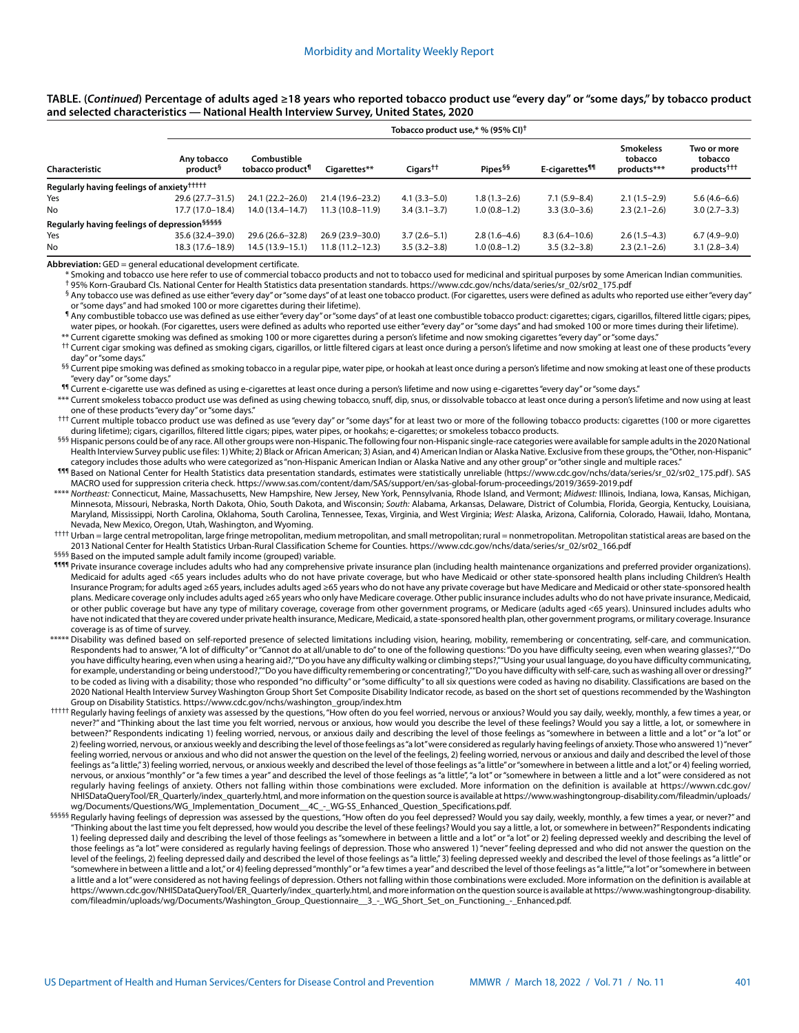#### **TABLE. (***Continued***) Percentage of adults aged ≥18 years who reported tobacco product use "every day" or "some days," by tobacco product and selected characteristics — National Health Interview Survey, United States, 2020**

|                                                          | Tobacco product use,* % (95% CI) <sup>†</sup> |                                             |                     |                           |                     |                            |                                            |                                                   |
|----------------------------------------------------------|-----------------------------------------------|---------------------------------------------|---------------------|---------------------------|---------------------|----------------------------|--------------------------------------------|---------------------------------------------------|
| <b>Characteristic</b>                                    | Any tobacco<br>product <sup>§</sup>           | Combustible<br>tobacco product <sup>¶</sup> | Cigarettes**        | $Cigars^{\dagger\dagger}$ | Pipes <sup>§§</sup> | E-cigarettes <sup>¶¶</sup> | <b>Smokeless</b><br>tobacco<br>products*** | Two or more<br>tobacco<br>products <sup>†††</sup> |
| Regularly having feelings of anxiety <sup>†††††</sup>    |                                               |                                             |                     |                           |                     |                            |                                            |                                                   |
| Yes                                                      | 29.6 (27.7-31.5)                              | 24.1 (22.2–26.0)                            | 21.4 (19.6–23.2)    | $4.1(3.3 - 5.0)$          | 1.8 (1.3–2.6)       | $7.1(5.9 - 8.4)$           | $2.1(1.5-2.9)$                             | $5.6(4.6-6.6)$                                    |
| No                                                       | 17.7 (17.0-18.4)                              | 14.0 (13.4–14.7)                            | $11.3(10.8-11.9)$   | $3.4(3.1 - 3.7)$          | $1.0(0.8-1.2)$      | $3.3(3.0-3.6)$             | $2.3(2.1-2.6)$                             | $3.0(2.7 - 3.3)$                                  |
| Regularly having feelings of depression <sup>§§§§§</sup> |                                               |                                             |                     |                           |                     |                            |                                            |                                                   |
| Yes                                                      | 35.6 (32.4-39.0)                              | 29.6 (26.6-32.8)                            | 26.9 (23.9-30.0)    | $3.7(2.6-5.1)$            | $2.8(1.6-4.6)$      | $8.3(6.4 - 10.6)$          | $2.6(1.5-4.3)$                             | $6.7(4.9-9.0)$                                    |
| No                                                       | 18.3 (17.6-18.9)                              | $14.5(13.9 - 15.1)$                         | $11.8(11.2 - 12.3)$ | $3.5(3.2 - 3.8)$          | $1.0(0.8-1.2)$      | $3.5(3.2 - 3.8)$           | $2.3(2.1-2.6)$                             | $3.1(2.8-3.4)$                                    |

**Abbreviation:** GED = general educational development certificate.

Smoking and tobacco use here refer to use of commercial tobacco products and not to tobacco used for medicinal and spiritual purposes by some American Indian communities. † 95% Korn-Graubard CIs. National Center for Health Statistics data presentation standards. [https://www.cdc.gov/nchs/data/series/sr\\_02/sr02\\_175.pdf](https://www.cdc.gov/nchs/data/series/sr_02/sr02_175.pdf)

§ Any tobacco use was defined as use either "every day" or "some days" of at least one tobacco product. (For cigarettes, users were defined as adults who reported use either "every day" or "some days" and had smoked 100 or more cigarettes during their lifetime).

¶ Any combustible tobacco use was defined as use either "every day" or "some days" of at least one combustible tobacco product: cigarettes; cigars, cigarillos, filtered little cigars; pipes, water pipes, or hookah. (For cigarettes, users were defined as adults who reported use either "every day" or "some days" and had smoked 100 or more times during their lifetime). \*\* Current cigarette smoking was defined as smoking 100 or more cigarettes during a person's lifetime and now smoking cigarettes "every day" or "some days."

<sup>††</sup> Current cigar smoking was defined as smoking cigars, cigarillos, or little filtered cigars at least once during a person's lifetime and now smoking at least one of these products "every day" or "some days."

<sup>§§</sup> Current pipe smoking was defined as smoking tobacco in a regular pipe, water pipe, or hookah at least once during a person's lifetime and now smoking at least one of these products "every day" or "some days."

¶¶ Current e-cigarette use was defined as using e-cigarettes at least once during a person's lifetime and now using e-cigarettes "every day" or "some days."

\*\*\* Current smokeless tobacco product use was defined as using chewing tobacco, snuff, dip, snus, or dissolvable tobacco at least once during a person's lifetime and now using at least one of these products "every day" or "some days."

††† Current multiple tobacco product use was defined as use "every day" or "some days" for at least two or more of the following tobacco products: cigarettes (100 or more cigarettes during lifetime); cigars, cigarillos, filtered little cigars; pipes, water pipes, or hookahs; e-cigarettes; or smokeless tobacco products.

§§§ Hispanic persons could be of any race. All other groups were non-Hispanic. The following four non-Hispanic single-race categories were available for sample adults in the 2020 National Health Interview Survey public use files: 1) White; 2) Black or African American; 3) Asian, and 4) American Indian or Alaska Native. Exclusive from these groups, the "Other, non-Hispanic" category includes those adults who were categorized as "non-Hispanic American Indian or Alaska Native and any other group" or "other single and multiple races.

¶¶¶ Based on National Center for Health Statistics data presentation standards, estimates were statistically unreliable ([https://www.cdc.gov/nchs/data/series/sr\\_02/sr02\\_175.pdf](https://www.cdc.gov/nchs/data/series/sr_02/sr02_175.pdf)). SAS MACRO used for suppression criteria check. <https://www.sas.com/content/dam/SAS/support/en/sas-global-forum-proceedings/2019/3659-2019.pdf>

\*\*\*\* *Northeast:* Connecticut, Maine, Massachusetts, New Hampshire, New Jersey, New York, Pennsylvania, Rhode Island, and Vermont; *Midwest:* Illinois, Indiana, Iowa, Kansas, Michigan, Minnesota, Missouri, Nebraska, North Dakota, Ohio, South Dakota, and Wisconsin; *South:* Alabama, Arkansas, Delaware, District of Columbia, Florida, Georgia, Kentucky, Louisiana, Maryland, Mississippi, North Carolina, Oklahoma, South Carolina, Tennessee, Texas, Virginia, and West Virginia; *West:* Alaska, Arizona, California, Colorado, Hawaii, Idaho, Montana, Nevada, New Mexico, Oregon, Utah, Washington, and Wyoming.

†††† Urban = large central metropolitan, large fringe metropolitan, medium metropolitan, and small metropolitan; rural = nonmetropolitan. Metropolitan statistical areas are based on the 2013 National Center for Health Statistics Urban-Rural Classification Scheme for Counties. [https://www.cdc.gov/nchs/data/series/sr\\_02/sr02\\_166.pdf](https://www.cdc.gov/nchs/data/series/sr_02/sr02_166.pdf)

§§§§§ Based on the imputed sample adult family income (grouped) variable.

1111 Private insurance coverage includes adults who had any comprehensive private insurance plan (including health maintenance organizations and preferred provider organizations). Medicaid for adults aged <65 years includes adults who do not have private coverage, but who have Medicaid or other state-sponsored health plans including Children's Health Insurance Program; for adults aged ≥65 years, includes adults aged ≥65 years who do not have any private coverage but have Medicare and Medicaid or other state-sponsored health plans. Medicare coverage only includes adults aged ≥65 years who only have Medicare coverage. Other public insurance includes adults who do not have private insurance, Medicaid, or other public coverage but have any type of military coverage, coverage from other government programs, or Medicare (adults aged <65 years). Uninsured includes adults who have not indicated that they are covered under private health insurance, Medicare, Medicaid, a state-sponsored health plan, other government programs, or military coverage. Insurance coverage is as of time of survey.

- \*\*\*\*\* Disability was defined based on self-reported presence of selected limitations including vision, hearing, mobility, remembering or concentrating, self-care, and communication. Respondents had to answer, "A lot of difficulty" or "Cannot do at all/unable to do" to one of the following questions: "Do you have difficulty seeing, even when wearing glasses?,""Do you have difficulty hearing, even when using a hearing aid?,""Do you have any difficulty walking or climbing steps?,""Using your usual language, do you have difficulty communicating, for example, understanding or being understood?,""Do you have difficulty remembering or concentrating?,""Do you have difficulty with self-care, such as washing all over or dressing?" to be coded as living with a disability; those who responded "no difficulty" or "some difficulty" to all six questions were coded as having no disability. Classifications are based on the 2020 National Health Interview Survey Washington Group Short Set Composite Disability Indicator recode, as based on the short set of questions recommended by the Washington Group on Disability Statistics. [https://www.cdc.gov/nchs/washington\\_group/index.htm](https://www.cdc.gov/nchs/washington_group/index.htm)
- ††††† Regularly having feelings of anxiety was assessed by the questions, "How often do you feel worried, nervous or anxious? Would you say daily, weekly, monthly, a few times a year, or never?" and "Thinking about the last time you felt worried, nervous or anxious, how would you describe the level of these feelings? Would you say a little, a lot, or somewhere in between?" Respondents indicating 1) feeling worried, nervous, or anxious daily and describing the level of those feelings as "somewhere in between a little and a lot" or "a lot" or 2) feeling worried, nervous, or anxious weekly and describing the level of those feelings as "a lot" were considered as regularly having feelings of anxiety. Those who answered 1) "never" feeling worried, nervous or anxious and who did not answer the question on the level of the feelings, 2) feeling worried, nervous or anxious and daily and described the level of those feelings as "a little," 3) feeling worried, nervous, or anxious weekly and described the level of those feelings as "a little" or "somewhere in between a little and a lot," or 4) feeling worried, nervous, or anxious "monthly" or "a few times a year" and described the level of those feelings as "a little", "a lot" or "somewhere in between a little and a lot" were considered as not regularly having feelings of anxiety. Others not falling within those combinations were excluded. More information on the definition is available at [https://wwwn.cdc.gov/](https://wwwn.cdc.gov/NHISDataQueryTool/ER_Quarterly/index_quarterly.html) [NHISDataQueryTool/ER\\_Quarterly/index\\_quarterly.html,](https://wwwn.cdc.gov/NHISDataQueryTool/ER_Quarterly/index_quarterly.html) and more information on the question source is available at [https://www.washingtongroup-disability.com/fileadmin/uploads/](https://www.washingtongroup-disability.com/fileadmin/uploads/wg/Documents/Questions/WG_Implementation_Document__4C_-_WG-SS_Enhanced_Question_Specifications.pdf) [wg/Documents/Questions/WG\\_Implementation\\_Document\\_\\_4C\\_-\\_WG-SS\\_Enhanced\\_Question\\_Specifications.pdf](https://www.washingtongroup-disability.com/fileadmin/uploads/wg/Documents/Questions/WG_Implementation_Document__4C_-_WG-SS_Enhanced_Question_Specifications.pdf).
- §§§§§ Regularly having feelings of depression was assessed by the questions, "How often do you feel depressed? Would you say daily, weekly, monthly, a few times a year, or never?" and "Thinking about the last time you felt depressed, how would you describe the level of these feelings? Would you say a little, a lot, or somewhere in between?" Respondents indicating 1) feeling depressed daily and describing the level of those feelings as "somewhere in between a little and a lot" or "a lot" or 2) feeling depressed weekly and describing the level of those feelings as "a lot" were considered as regularly having feelings of depression. Those who answered 1) "never" feeling depressed and who did not answer the question on the level of the feelings, 2) feeling depressed daily and described the level of those feelings as "a little," 3) feeling depressed weekly and described the level of those feelings as "a little" or "somewhere in between a little and a lot," or 4) feeling depressed "monthly" or "a few times a year" and described the level of those feelings as "a little," "a lot" or "somewhere in between a little and a lot" were considered as not having feelings of depression. Others not falling within those combinations were excluded. More information on the definition is available at [https://wwwn.cdc.gov/NHISDataQueryTool/ER\\_Quarterly/index\\_quarterly.html](https://wwwn.cdc.gov/NHISDataQueryTool/ER_Quarterly/index_quarterly.html), and more information on the question source is available at [https://www.washingtongroup-disability.](https://www.washingtongroup-disability.com/fileadmin/uploads/wg/Documents/Washington_Group_Questionnaire__3_-_WG_Short_Set_on_Functioning_-_Enhanced.pdf) [com/fileadmin/uploads/wg/Documents/Washington\\_Group\\_Questionnaire\\_\\_3\\_-\\_WG\\_Short\\_Set\\_on\\_Functioning\\_-\\_Enhanced.pdf](https://www.washingtongroup-disability.com/fileadmin/uploads/wg/Documents/Washington_Group_Questionnaire__3_-_WG_Short_Set_on_Functioning_-_Enhanced.pdf).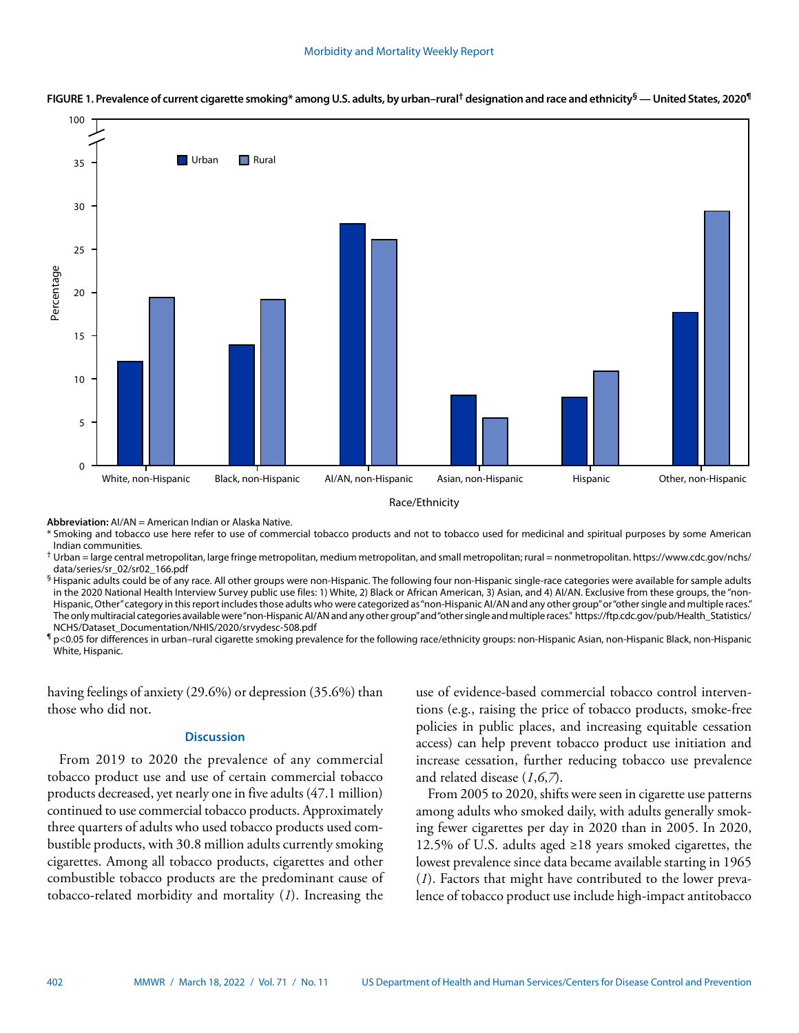



**Abbreviation:** AI/AN = American Indian or Alaska Native.

\* Smoking and tobacco use here refer to use of commercial tobacco products and not to tobacco used for medicinal and spiritual purposes by some American Indian communities.

† Urban = large central metropolitan, large fringe metropolitan, medium metropolitan, and small metropolitan; rural = nonmetropolitan. [https://www.cdc.gov/nchs/](https://www.cdc.gov/nchs/data/series/sr_02/sr02_166.pdf) [data/series/sr\\_02/sr02\\_166.pdf](https://www.cdc.gov/nchs/data/series/sr_02/sr02_166.pdf)

§ Hispanic adults could be of any race. All other groups were non-Hispanic. The following four non-Hispanic single-race categories were available for sample adults in the 2020 National Health Interview Survey public use files: 1) White, 2) Black or African American, 3) Asian, and 4) AI/AN. Exclusive from these groups, the "non-Hispanic, Other" category in this report includes those adults who were categorized as "non-Hispanic AI/AN and any other group" or "other single and multiple races." The only multiracial categories available were "non-Hispanic AI/AN and any other group" and "other single and multiple races." [https://ftp.cdc.gov/pub/Health\\_Statistics/](https://ftp.cdc.gov/pub/Health_Statistics/NCHS/Dataset_Documentation/NHIS/2020/srvydesc-508.pdf) [NCHS/Dataset\\_Documentation/NHIS/2020/srvydesc-508.pdf](https://ftp.cdc.gov/pub/Health_Statistics/NCHS/Dataset_Documentation/NHIS/2020/srvydesc-508.pdf)

¶ p<0.05 for differences in urban–rural cigarette smoking prevalence for the following race/ethnicity groups: non-Hispanic Asian, non-Hispanic Black, non-Hispanic White, Hispanic.

having feelings of anxiety (29.6%) or depression (35.6%) than those who did not.

# **Discussion**

From 2019 to 2020 the prevalence of any commercial tobacco product use and use of certain commercial tobacco products decreased, yet nearly one in five adults (47.1 million) continued to use commercial tobacco products. Approximately three quarters of adults who used tobacco products used combustible products, with 30.8 million adults currently smoking cigarettes. Among all tobacco products, cigarettes and other combustible tobacco products are the predominant cause of tobacco-related morbidity and mortality (*1*). Increasing the

use of evidence-based commercial tobacco control interventions (e.g., raising the price of tobacco products, smoke-free policies in public places, and increasing equitable cessation access) can help prevent tobacco product use initiation and increase cessation, further reducing tobacco use prevalence and related disease (*1*,*6*,*7*).

From 2005 to 2020, shifts were seen in cigarette use patterns among adults who smoked daily, with adults generally smoking fewer cigarettes per day in 2020 than in 2005. In 2020, 12.5% of U.S. adults aged ≥18 years smoked cigarettes, the lowest prevalence since data became available starting in 1965 (*1*). Factors that might have contributed to the lower prevalence of tobacco product use include high-impact antitobacco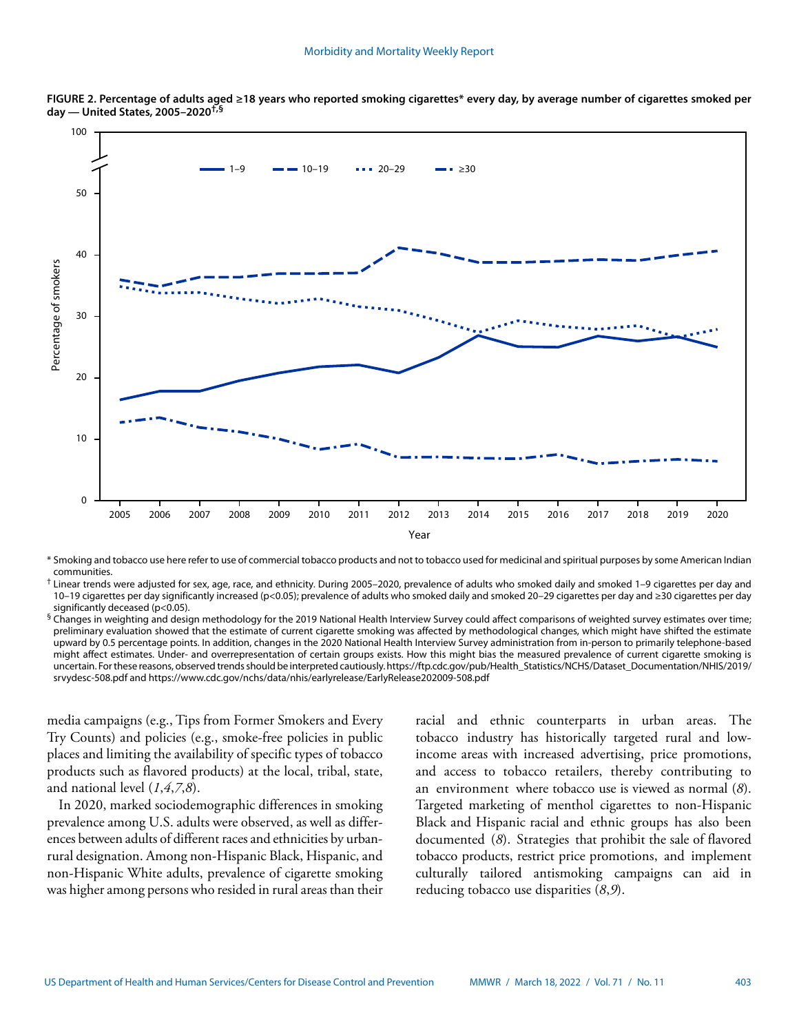

**FIGURE 2. Percentage of adults aged ≥18 years who reported smoking cigarettes\* every day, by average number of cigarettes smoked per day — United States, 2005–2020†,§**

\* Smoking and tobacco use here refer to use of commercial tobacco products and not to tobacco used for medicinal and spiritual purposes by some American Indian communities.

† Linear trends were adjusted for sex, age, race, and ethnicity. During 2005–2020, prevalence of adults who smoked daily and smoked 1–9 cigarettes per day and 10–19 cigarettes per day significantly increased (p<0.05); prevalence of adults who smoked daily and smoked 20–29 cigarettes per day and ≥30 cigarettes per day significantly deceased (p<0.05).

 $§$  Changes in weighting and design methodology for the 2019 National Health Interview Survey could affect comparisons of weighted survey estimates over time; preliminary evaluation showed that the estimate of current cigarette smoking was affected by methodological changes, which might have shifted the estimate upward by 0.5 percentage points. In addition, changes in the 2020 National Health Interview Survey administration from in-person to primarily telephone-based might affect estimates. Under- and overrepresentation of certain groups exists. How this might bias the measured prevalence of current cigarette smoking is uncertain. For these reasons, observed trends should be interpreted cautiously. [https://ftp.cdc.gov/pub/Health\\_Statistics/NCHS/Dataset\\_Documentation/NHIS/2019/](https://ftp.cdc.gov/pub/Health_Statistics/NCHS/Dataset_Documentation/NHIS/2019/srvydesc-508.pdf) [srvydesc-508.pdf](https://ftp.cdc.gov/pub/Health_Statistics/NCHS/Dataset_Documentation/NHIS/2019/srvydesc-508.pdf) and <https://www.cdc.gov/nchs/data/nhis/earlyrelease/EarlyRelease202009-508.pdf>

media campaigns (e.g., Tips from Former Smokers and Every Try Counts) and policies (e.g., smoke-free policies in public places and limiting the availability of specific types of tobacco products such as flavored products) at the local, tribal, state, and national level (*1*,*4*,*7*,*8*).

In 2020, marked sociodemographic differences in smoking prevalence among U.S. adults were observed, as well as differences between adults of different races and ethnicities by urbanrural designation. Among non-Hispanic Black, Hispanic, and non-Hispanic White adults, prevalence of cigarette smoking was higher among persons who resided in rural areas than their racial and ethnic counterparts in urban areas. The tobacco industry has historically targeted rural and lowincome areas with increased advertising, price promotions, and access to tobacco retailers, thereby contributing to an environment where tobacco use is viewed as normal (*8*). Targeted marketing of menthol cigarettes to non-Hispanic Black and Hispanic racial and ethnic groups has also been documented (*8*). Strategies that prohibit the sale of flavored tobacco products, restrict price promotions, and implement culturally tailored antismoking campaigns can aid in reducing tobacco use disparities (*8*,*9*).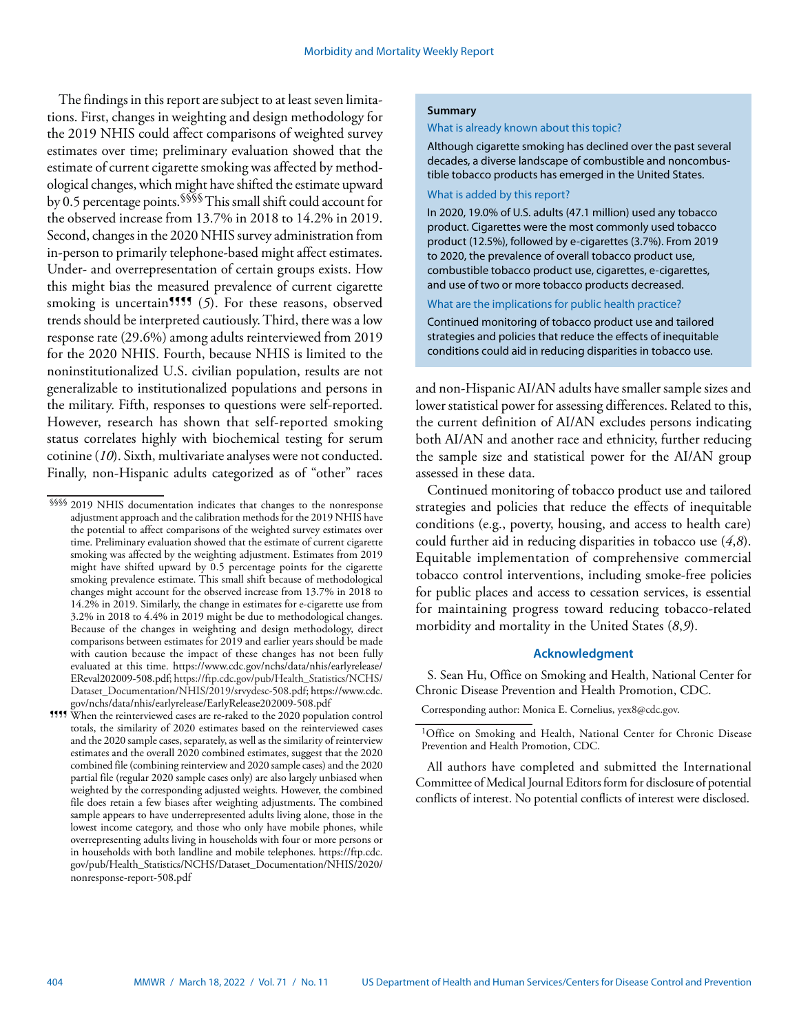The findings in this report are subject to at least seven limitations. First, changes in weighting and design methodology for the 2019 NHIS could affect comparisons of weighted survey estimates over time; preliminary evaluation showed that the estimate of current cigarette smoking was affected by methodological changes, which might have shifted the estimate upward by 0.5 percentage points.§§§§ This small shift could account for the observed increase from 13.7% in 2018 to 14.2% in 2019. Second, changes in the 2020 NHIS survey administration from in-person to primarily telephone-based might affect estimates. Under- and overrepresentation of certain groups exists. How this might bias the measured prevalence of current cigarette smoking is uncertain<sup>1111</sup> (5). For these reasons, observed trends should be interpreted cautiously. Third, there was a low response rate (29.6%) among adults reinterviewed from 2019 for the 2020 NHIS. Fourth, because NHIS is limited to the noninstitutionalized U.S. civilian population, results are not generalizable to institutionalized populations and persons in the military. Fifth, responses to questions were self-reported. However, research has shown that self-reported smoking status correlates highly with biochemical testing for serum cotinine (*10*). Sixth, multivariate analyses were not conducted. Finally, non-Hispanic adults categorized as of "other" races

## **Summary**

#### What is already known about this topic?

Although cigarette smoking has declined over the past several decades, a diverse landscape of combustible and noncombustible tobacco products has emerged in the United States.

## What is added by this report?

In 2020, 19.0% of U.S. adults (47.1 million) used any tobacco product. Cigarettes were the most commonly used tobacco product (12.5%), followed by e-cigarettes (3.7%). From 2019 to 2020, the prevalence of overall tobacco product use, combustible tobacco product use, cigarettes, e-cigarettes, and use of two or more tobacco products decreased.

What are the implications for public health practice?

Continued monitoring of tobacco product use and tailored strategies and policies that reduce the effects of inequitable conditions could aid in reducing disparities in tobacco use.

and non-Hispanic AI/AN adults have smaller sample sizes and lower statistical power for assessing differences. Related to this, the current definition of AI/AN excludes persons indicating both AI/AN and another race and ethnicity, further reducing the sample size and statistical power for the AI/AN group assessed in these data.

Continued monitoring of tobacco product use and tailored strategies and policies that reduce the effects of inequitable conditions (e.g., poverty, housing, and access to health care) could further aid in reducing disparities in tobacco use (*4*,*8*). Equitable implementation of comprehensive commercial tobacco control interventions, including smoke-free policies for public places and access to cessation services, is essential for maintaining progress toward reducing tobacco-related morbidity and mortality in the United States (*8*,*9*).

# **Acknowledgment**

S. Sean Hu, Office on Smoking and Health, National Center for Chronic Disease Prevention and Health Promotion, CDC.

All authors have completed and submitted the International Committee of Medical Journal Editors form for disclosure of potential conflicts of interest. No potential conflicts of interest were disclosed.

<sup>§§§§</sup> 2019 NHIS documentation indicates that changes to the nonresponse adjustment approach and the calibration methods for the 2019 NHIS have the potential to affect comparisons of the weighted survey estimates over time. Preliminary evaluation showed that the estimate of current cigarette smoking was affected by the weighting adjustment. Estimates from 2019 might have shifted upward by 0.5 percentage points for the cigarette smoking prevalence estimate. This small shift because of methodological changes might account for the observed increase from 13.7% in 2018 to 14.2% in 2019. Similarly, the change in estimates for e-cigarette use from 3.2% in 2018 to 4.4% in 2019 might be due to methodological changes. Because of the changes in weighting and design methodology, direct comparisons between estimates for 2019 and earlier years should be made with caution because the impact of these changes has not been fully evaluated at this time. [https://www.cdc.gov/nchs/data/nhis/earlyrelease/](https://www.cdc.gov/nchs/data/nhis/earlyrelease/EReval202009-508.pdf) [EReval202009-508.pdf;](https://www.cdc.gov/nchs/data/nhis/earlyrelease/EReval202009-508.pdf) [https://ftp.cdc.gov/pub/Health\\_Statistics/NCHS/](https://ftp.cdc.gov/pub/Health_Statistics/NCHS/Dataset_Documentation/NHIS/2019/srvydesc-508.pdf) [Dataset\\_Documentation/NHIS/2019/srvydesc-508.pdf;](https://ftp.cdc.gov/pub/Health_Statistics/NCHS/Dataset_Documentation/NHIS/2019/srvydesc-508.pdf) [https://www.cdc.](https://www.cdc.gov/nchs/data/nhis/earlyrelease/EarlyRelease202009-508.pdf) [gov/nchs/data/nhis/earlyrelease/EarlyRelease202009-508.pdf](https://www.cdc.gov/nchs/data/nhis/earlyrelease/EarlyRelease202009-508.pdf)

<sup>¶¶¶¶</sup> When the reinterviewed cases are re-raked to the 2020 population control totals, the similarity of 2020 estimates based on the reinterviewed cases and the 2020 sample cases, separately, as well as the similarity of reinterview estimates and the overall 2020 combined estimates, suggest that the 2020 combined file (combining reinterview and 2020 sample cases) and the 2020 partial file (regular 2020 sample cases only) are also largely unbiased when weighted by the corresponding adjusted weights. However, the combined file does retain a few biases after weighting adjustments. The combined sample appears to have underrepresented adults living alone, those in the lowest income category, and those who only have mobile phones, while overrepresenting adults living in households with four or more persons or in households with both landline and mobile telephones. [https://ftp.cdc.](https://ftp.cdc.gov/pub/Health_Statistics/NCHS/Dataset_Documentation/NHIS/2020/nonresponse-report-508.pdf) [gov/pub/Health\\_Statistics/NCHS/Dataset\\_Documentation/NHIS/2020/](https://ftp.cdc.gov/pub/Health_Statistics/NCHS/Dataset_Documentation/NHIS/2020/nonresponse-report-508.pdf) [nonresponse-report-508.pdf](https://ftp.cdc.gov/pub/Health_Statistics/NCHS/Dataset_Documentation/NHIS/2020/nonresponse-report-508.pdf)

Corresponding author: Monica E. Cornelius, [yex8@cdc.gov.](mailto:yex8@cdc.gov)

<sup>&</sup>lt;sup>1</sup>Office on Smoking and Health, National Center for Chronic Disease Prevention and Health Promotion, CDC.